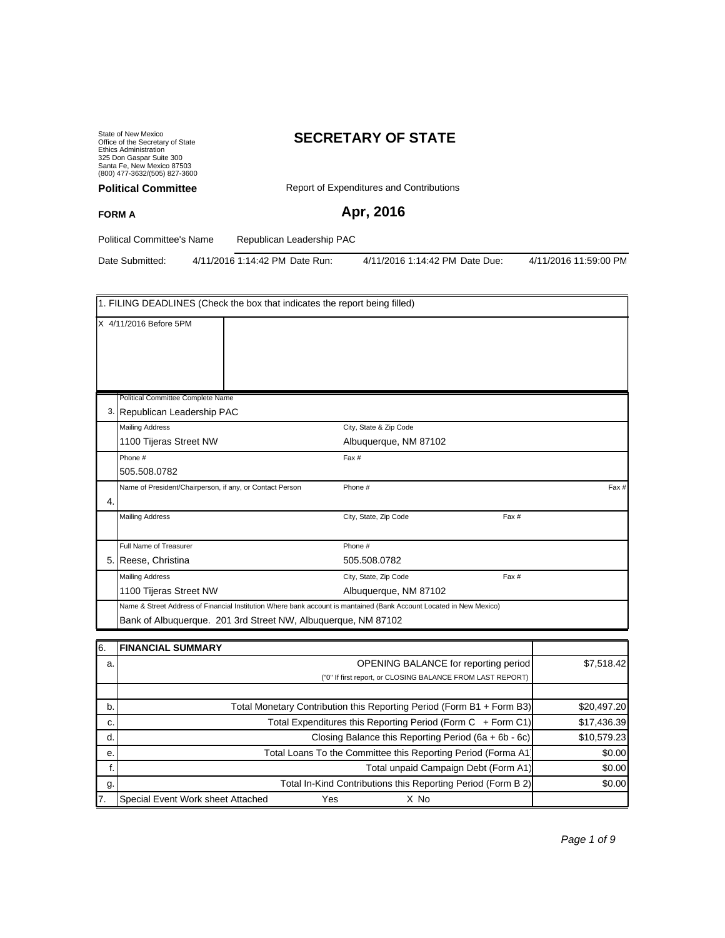State of New Mexico Office of the Secretary of State Ethics Administration 325 Don Gaspar Suite 300 Santa Fe, New Mexico 87503 (800) 477-3632/(505) 827-3600 **Political Committee**

# **SECRETARY OF STATE**

Report of Expenditures and Contributions

## **Apr, 2016**

Political Committee's Name Republican Leadership PAC

**FORM A**

Date Submitted: 4/11/2016 1:14:42 PM Date Run: 4/11/2016 1:14:42 PM Date Due: 4/11/2016 11:59:00 PM

|    | 1. FILING DEADLINES (Check the box that indicates the report being filled)                                          |                        |       |      |  |  |
|----|---------------------------------------------------------------------------------------------------------------------|------------------------|-------|------|--|--|
|    | X 4/11/2016 Before 5PM                                                                                              |                        |       |      |  |  |
|    | Political Committee Complete Name                                                                                   |                        |       |      |  |  |
|    | 3. Republican Leadership PAC                                                                                        |                        |       |      |  |  |
|    | <b>Mailing Address</b>                                                                                              | City, State & Zip Code |       |      |  |  |
|    | 1100 Tijeras Street NW                                                                                              | Albuquerque, NM 87102  |       |      |  |  |
|    | Phone #                                                                                                             | Fax #                  |       |      |  |  |
|    | 505.508.0782                                                                                                        |                        |       |      |  |  |
| 4. | Name of President/Chairperson, if any, or Contact Person                                                            | Phone #                |       | Fax# |  |  |
|    | <b>Mailing Address</b>                                                                                              | City, State, Zip Code  | Fax # |      |  |  |
|    | Full Name of Treasurer                                                                                              | Phone #                |       |      |  |  |
|    | 5. Reese, Christina                                                                                                 | 505.508.0782           |       |      |  |  |
|    | <b>Mailing Address</b>                                                                                              | City, State, Zip Code  | Fax # |      |  |  |
|    | 1100 Tijeras Street NW                                                                                              | Albuquerque, NM 87102  |       |      |  |  |
|    | Name & Street Address of Financial Institution Where bank account is mantained (Bank Account Located in New Mexico) |                        |       |      |  |  |
|    | Bank of Albuquerque. 201 3rd Street NW, Albuquerque, NM 87102                                                       |                        |       |      |  |  |

| 16. | <b>FINANCIAL SUMMARY</b>                                              |             |
|-----|-----------------------------------------------------------------------|-------------|
| a.  | OPENING BALANCE for reporting period                                  | \$7,518.42  |
|     | ("0" If first report, or CLOSING BALANCE FROM LAST REPORT)            |             |
|     |                                                                       |             |
| b.  | Total Monetary Contribution this Reporting Period (Form B1 + Form B3) | \$20,497.20 |
| C.  | Total Expenditures this Reporting Period (Form C + Form C1)           | \$17,436.39 |
| d.  | Closing Balance this Reporting Period (6a + 6b - 6c)                  | \$10,579.23 |
| е.  | Total Loans To the Committee this Reporting Period (Forma A1)         | \$0.00      |
|     | Total unpaid Campaign Debt (Form A1)                                  | \$0.00      |
| g.  | Total In-Kind Contributions this Reporting Period (Form B 2)          | \$0.00      |
| 17. | Special Event Work sheet Attached<br>Yes<br>X No                      |             |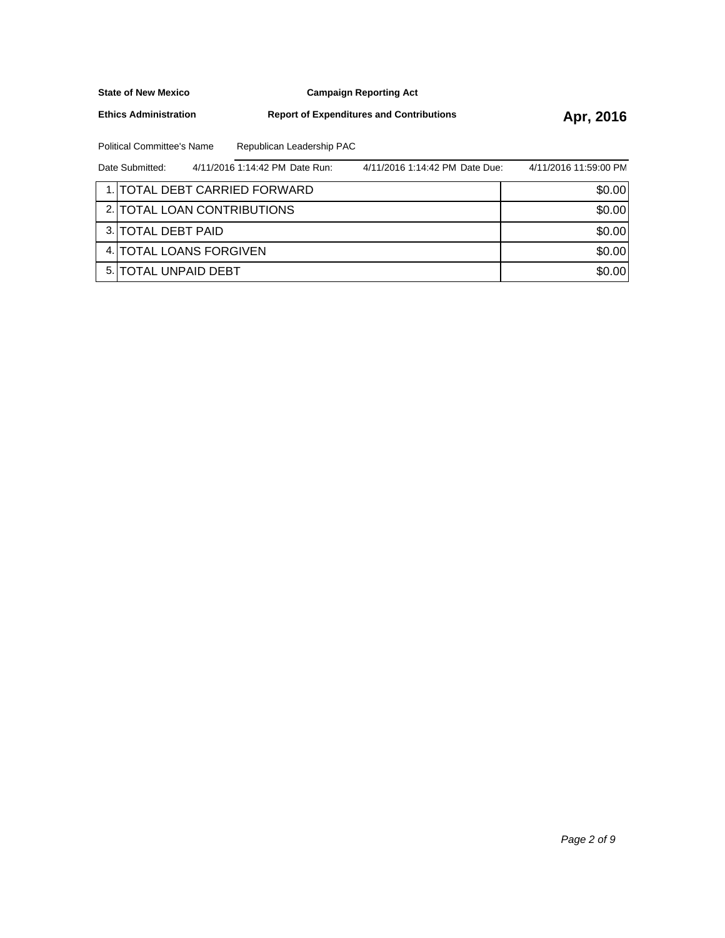**Campaign Reporting Act**

**Ethics Administration**

**Report of Expenditures and Contributions Apr, 2016** 

Political Committee's Name Republican Leadership PAC

| Date Submitted:       | 4/11/2016 1:14:42 PM Date Run: | 4/11/2016 1:14:42 PM Date Due: | 4/11/2016 11:59:00 PM |
|-----------------------|--------------------------------|--------------------------------|-----------------------|
|                       | 1. TOTAL DEBT CARRIED FORWARD  |                                | \$0.00                |
|                       | 2. TOTAL LOAN CONTRIBUTIONS    |                                | \$0.00                |
| 3. ITOTAL DEBT PAID   |                                |                                | \$0.00                |
|                       | 4. TOTAL LOANS FORGIVEN        |                                | \$0.00                |
| 5. ITOTAL UNPAID DEBT |                                |                                | \$0.00                |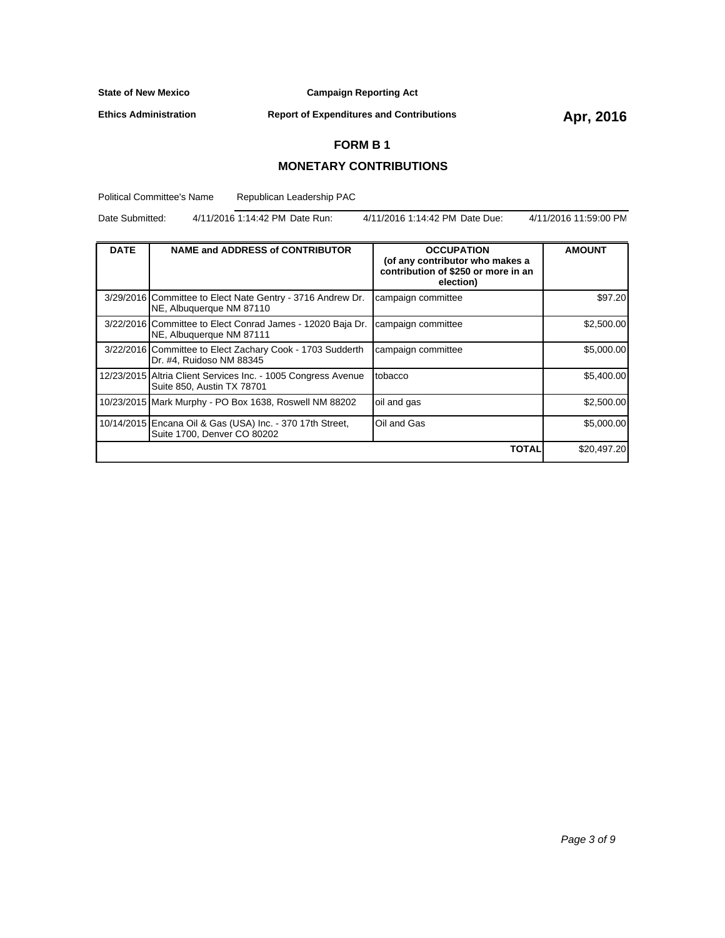**Campaign Reporting Act**

**Ethics Administration**

**Report of Expenditures and Contributions Apr, 2016** 

### **FORM B 1**

#### **MONETARY CONTRIBUTIONS**

Political Committee's Name Republican Leadership PAC

Date Submitted: 4/11/2016 1:14:42 PM Date Run: 4/11/2016 1:14:42 PM Date Due: 4/11/2016 11:59:00 PM

| <b>DATE</b> | <b>NAME and ADDRESS of CONTRIBUTOR</b>                                                      | <b>OCCUPATION</b><br>(of any contributor who makes a<br>contribution of \$250 or more in an<br>election) | <b>AMOUNT</b> |
|-------------|---------------------------------------------------------------------------------------------|----------------------------------------------------------------------------------------------------------|---------------|
|             | 3/29/2016 Committee to Elect Nate Gentry - 3716 Andrew Dr.<br>NE, Albuquerque NM 87110      | campaign committee                                                                                       | \$97.20       |
|             | 3/22/2016 Committee to Elect Conrad James - 12020 Baja Dr.<br>NE, Albuquerque NM 87111      | campaign committee                                                                                       | \$2,500.00    |
|             | 3/22/2016 Committee to Elect Zachary Cook - 1703 Sudderth<br>Dr. #4, Ruidoso NM 88345       | campaign committee                                                                                       | \$5,000.00    |
|             | 12/23/2015 Altria Client Services Inc. - 1005 Congress Avenue<br>Suite 850, Austin TX 78701 | tobacco                                                                                                  | \$5,400.00    |
|             | 10/23/2015 Mark Murphy - PO Box 1638, Roswell NM 88202                                      | oil and gas                                                                                              | \$2,500.00    |
|             | 10/14/2015 Encana Oil & Gas (USA) Inc. - 370 17th Street,<br>Suite 1700, Denver CO 80202    | Oil and Gas                                                                                              | \$5,000.00    |
|             |                                                                                             | TOTAL                                                                                                    | \$20,497.20   |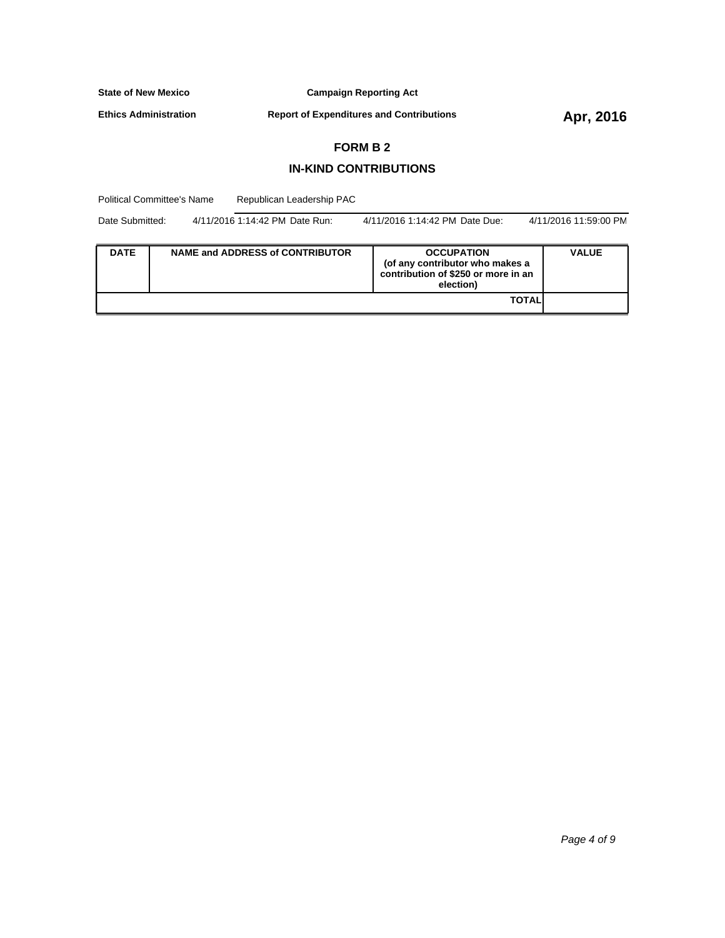**Campaign Reporting Act**

**Ethics Administration**

**Report of Expenditures and Contributions Apr, 2016** 

#### **FORM B 2**

#### **IN-KIND CONTRIBUTIONS**

Political Committee's Name Republican Leadership PAC

| Date Submitted: | 4/11/2016 1:14:42 PM Date Run: | 4/11/2016 1:14:42 PM Date Due: | 4/11/2016 11:59:00 PM |
|-----------------|--------------------------------|--------------------------------|-----------------------|
|                 |                                |                                |                       |

| <b>DATE</b> | NAME and ADDRESS of CONTRIBUTOR | <b>OCCUPATION</b><br>(of any contributor who makes a<br>contribution of \$250 or more in an<br>election) | <b>VALUE</b> |
|-------------|---------------------------------|----------------------------------------------------------------------------------------------------------|--------------|
|             |                                 | <b>TOTAL</b>                                                                                             |              |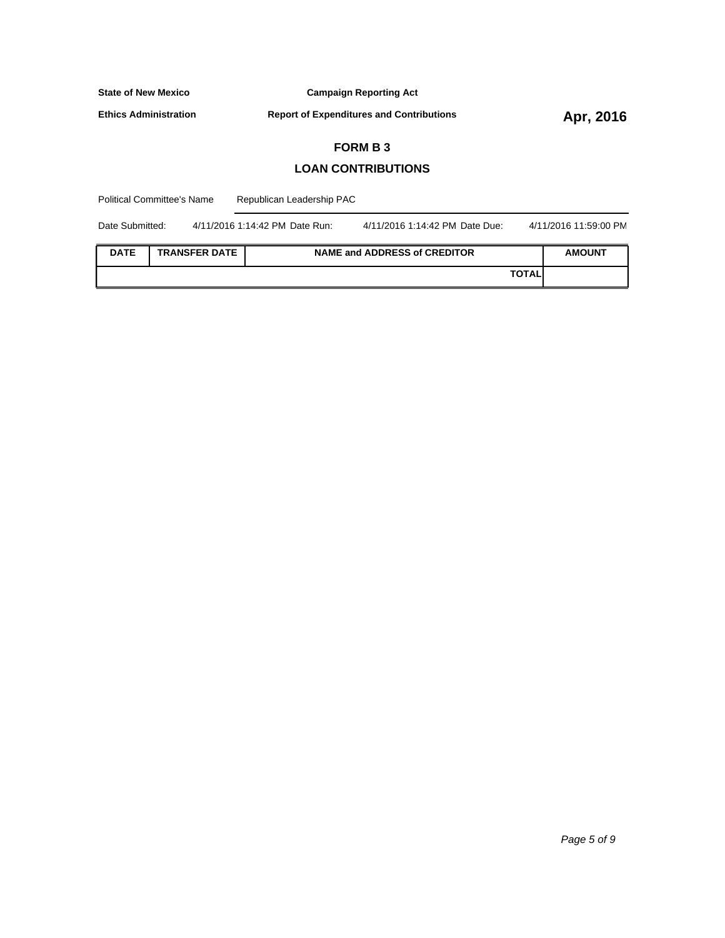**Campaign Reporting Act**

**Ethics Administration**

**Report of Expenditures and Contributions Apr, 2016** 

### **FORM B 3**

## **LOAN CONTRIBUTIONS**

| <b>Political Committee's Name</b> |  | Republican Leadership PAC      |  |                                |  |                       |
|-----------------------------------|--|--------------------------------|--|--------------------------------|--|-----------------------|
| Date Submitted:                   |  | 4/11/2016 1:14:42 PM Date Run: |  | 4/11/2016 1:14:42 PM Date Due: |  | 4/11/2016 11:59:00 PM |

| <b>DATE</b> | <b>TRANSFER DATE</b> | <b>NAME and ADDRESS of CREDITOR</b> | <b>AMOUNT</b> |
|-------------|----------------------|-------------------------------------|---------------|
|             |                      | <b>TOTAL</b>                        |               |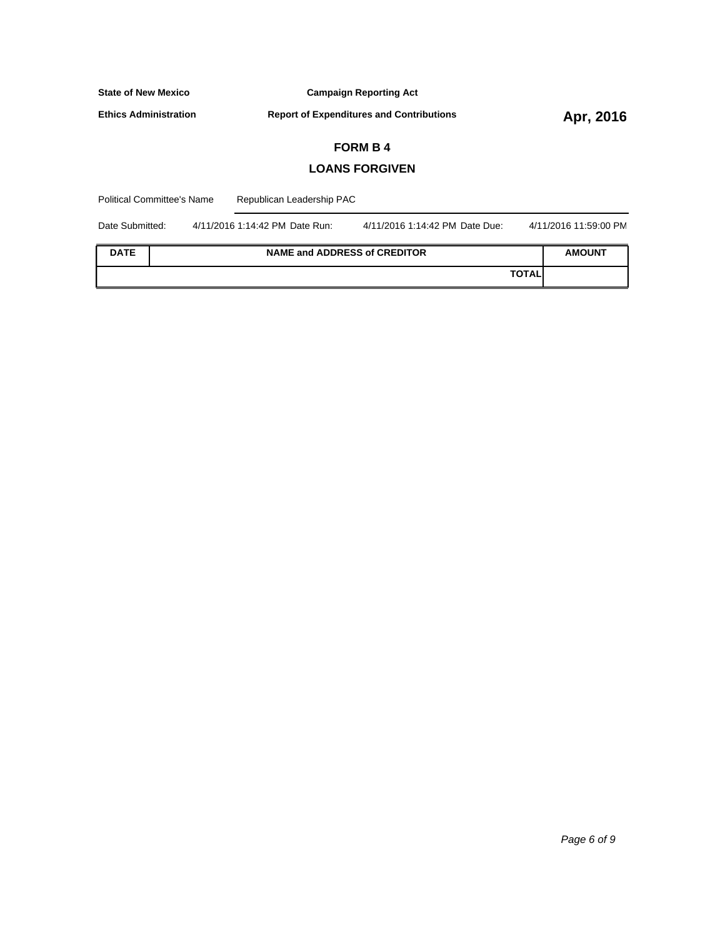| <b>State of New Mexico</b>                        |                       |                                                 | <b>Campaign Reporting Act</b>  |  |                       |  |
|---------------------------------------------------|-----------------------|-------------------------------------------------|--------------------------------|--|-----------------------|--|
| <b>Ethics Administration</b>                      |                       | <b>Report of Expenditures and Contributions</b> |                                |  | Apr, 2016             |  |
|                                                   |                       |                                                 | <b>FORM B4</b>                 |  |                       |  |
|                                                   | <b>LOANS FORGIVEN</b> |                                                 |                                |  |                       |  |
| <b>Political Committee's Name</b>                 |                       | Republican Leadership PAC                       |                                |  |                       |  |
| Date Submitted:<br>4/11/2016 1:14:42 PM Date Run: |                       |                                                 | 4/11/2016 1:14:42 PM Date Due: |  | 4/11/2016 11:59:00 PM |  |
| <b>DATE</b>                                       |                       | <b>NAME and ADDRESS of CREDITOR</b>             |                                |  | <b>AMOUNT</b>         |  |

**TOTAL**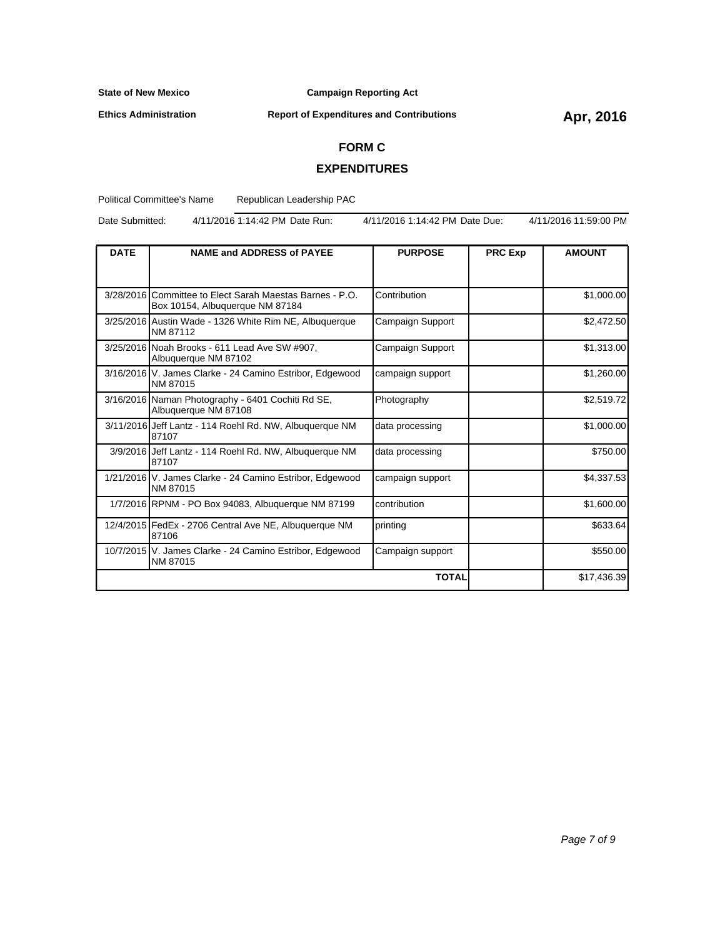**Ethics Administration**

**Campaign Reporting Act**

# **Report of Expenditures and Contributions Apr, 2016**

#### **FORM C**

## **EXPENDITURES**

Political Committee's Name Republican Leadership PAC

Date Submitted: 4/11/2016 1:14:42 PM Date Run: 4/11/2016 1:14:42 PM Date Due: 4/11/2016 11:59:00 PM

| <b>DATE</b> | <b>NAME and ADDRESS of PAYEE</b>                                                            | <b>PURPOSE</b>   | <b>PRC Exp</b> | <b>AMOUNT</b> |
|-------------|---------------------------------------------------------------------------------------------|------------------|----------------|---------------|
|             |                                                                                             |                  |                |               |
|             | 3/28/2016 Committee to Elect Sarah Maestas Barnes - P.O.<br>Box 10154, Albuquerque NM 87184 | Contribution     |                | \$1,000.00    |
|             | 3/25/2016 Austin Wade - 1326 White Rim NE, Albuquerque<br>NM 87112                          | Campaign Support |                | \$2,472.50    |
|             | 3/25/2016 Noah Brooks - 611 Lead Ave SW #907,<br>Albuquerque NM 87102                       | Campaign Support |                | \$1,313.00    |
|             | 3/16/2016 V. James Clarke - 24 Camino Estribor, Edgewood<br>NM 87015                        | campaign support |                | \$1,260.00    |
|             | 3/16/2016 Naman Photography - 6401 Cochiti Rd SE,<br>Albuquerque NM 87108                   | Photography      |                | \$2,519.72    |
|             | 3/11/2016 Jeff Lantz - 114 Roehl Rd. NW, Albuquerque NM<br>87107                            | data processing  |                | \$1,000.00    |
|             | 3/9/2016 Jeff Lantz - 114 Roehl Rd. NW, Albuguerque NM<br>87107                             | data processing  |                | \$750.00      |
|             | 1/21/2016 V. James Clarke - 24 Camino Estribor, Edgewood<br>NM 87015                        | campaign support |                | \$4,337.53    |
|             | 1/7/2016 RPNM - PO Box 94083, Albuquerque NM 87199                                          | contribution     |                | \$1,600.00    |
|             | 12/4/2015 FedEx - 2706 Central Ave NE, Albuquerque NM<br>87106                              | printing         |                | \$633.64      |
|             | 10/7/2015 V. James Clarke - 24 Camino Estribor, Edgewood<br>NM 87015                        | Campaign support |                | \$550.00      |
|             |                                                                                             | <b>TOTAL</b>     |                | \$17,436.39   |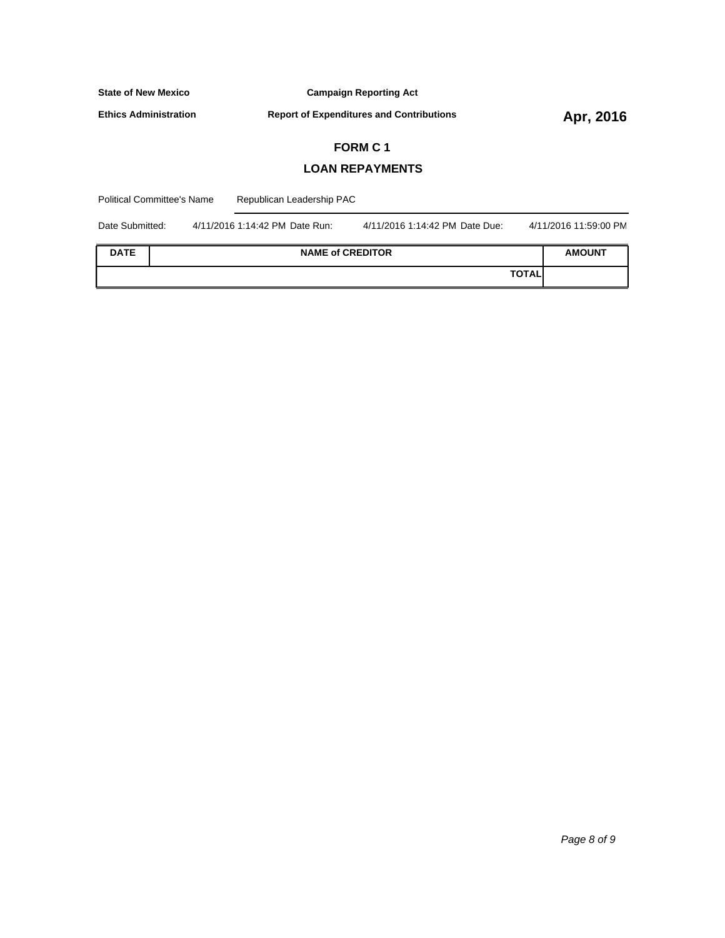| <b>State of New Mexico</b>   | <b>Campaign Reporting Act</b>                                    |                       |  |
|------------------------------|------------------------------------------------------------------|-----------------------|--|
| <b>Ethics Administration</b> | <b>Report of Expenditures and Contributions</b>                  | Apr, 2016             |  |
|                              | <b>FORM C1</b>                                                   |                       |  |
|                              | <b>LOAN REPAYMENTS</b>                                           |                       |  |
| Political Committee's Name   | Republican Leadership PAC                                        |                       |  |
| Date Submitted:              | 4/11/2016 1:14:42 PM Date Run:<br>4/11/2016 1:14:42 PM Date Due: | 4/11/2016 11:59:00 PM |  |
| <b>DATE</b>                  | <b>NAME of CREDITOR</b>                                          | <b>AMOUNT</b>         |  |

**TOTAL**